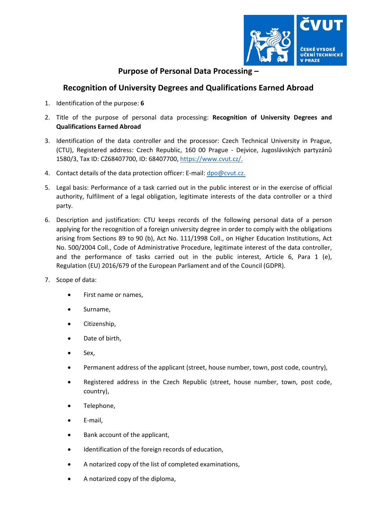

## **Purpose of Personal Data Processing –**

## **Recognition of University Degrees and Qualifications Earned Abroad**

- 1. Identification of the purpose: **6**
- 2. Title of the purpose of personal data processing: **Recognition of University Degrees and Qualifications Earned Abroad**
- 3. Identification of the data controller and the processor: Czech Technical University in Prague, (CTU), Registered address: Czech Republic, 160 00 Prague ‐ Dejvice, Jugoslávských partyzánů 1580/3, Tax ID: CZ68407700, ID: 68407700, https://www.cvut.cz/.
- 4. Contact details of the data protection officer: E-mail: dpo@cvut.cz.
- 5. Legal basis: Performance of a task carried out in the public interest or in the exercise of official authority, fulfilment of a legal obligation, legitimate interests of the data controller or a third party.
- 6. Description and justification: CTU keeps records of the following personal data of a person applying for the recognition of a foreign university degree in order to comply with the obligations arising from Sections 89 to 90 (b), Act No. 111/1998 Coll., on Higher Education Institutions, Act No. 500/2004 Coll., Code of Administrative Procedure, legitimate interest of the data controller, and the performance of tasks carried out in the public interest, Article 6, Para 1 (e), Regulation (EU) 2016/679 of the European Parliament and of the Council (GDPR).
- 7. Scope of data:
	- First name or names,
	- Surname,
	- Citizenship,
	- Date of birth,
	- Sex,
	- Permanent address of the applicant (street, house number, town, post code, country),
	- Registered address in the Czech Republic (street, house number, town, post code, country),
	- Telephone,
	- E‐mail,
	- Bank account of the applicant,
	- Identification of the foreign records of education,
	- A notarized copy of the list of completed examinations,
	- A notarized copy of the diploma,